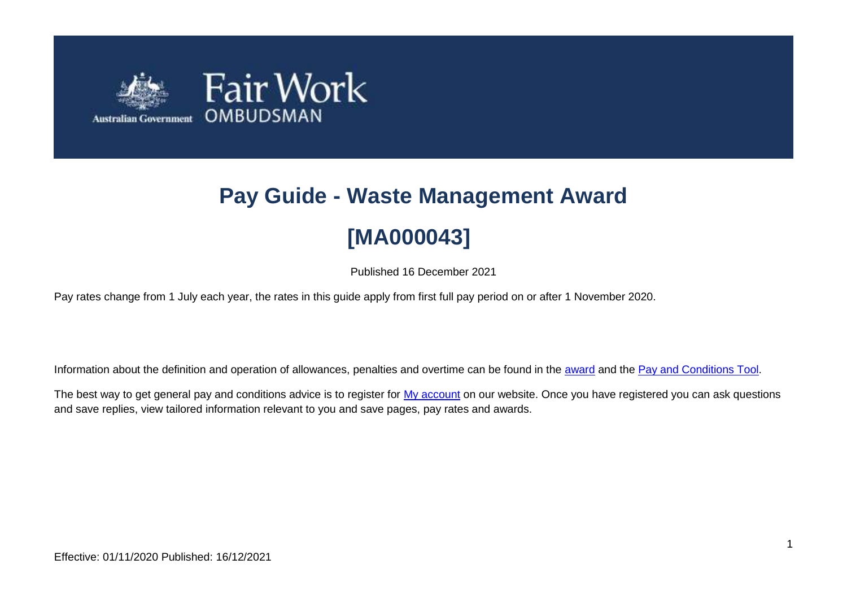

# **Pay Guide - Waste Management Award [MA000043]**

Published 16 December 2021

Pay rates change from 1 July each year, the rates in this guide apply from first full pay period on or after 1 November 2020.

Information about the definition and operation of allowances, penalties and overtime can be found in the [award](https://www.fairwork.gov.au/awards-and-agreements/awards/list-of-awards) and the [Pay and Conditions Tool.](https://calculate.fairwork.gov.au/)

The best way to get general pay and conditions advice is to register for [My account](https://www.fairwork.gov.au/my-account/registerpage.aspx) on our website. Once you have registered you can ask questions and save replies, view tailored information relevant to you and save pages, pay rates and awards.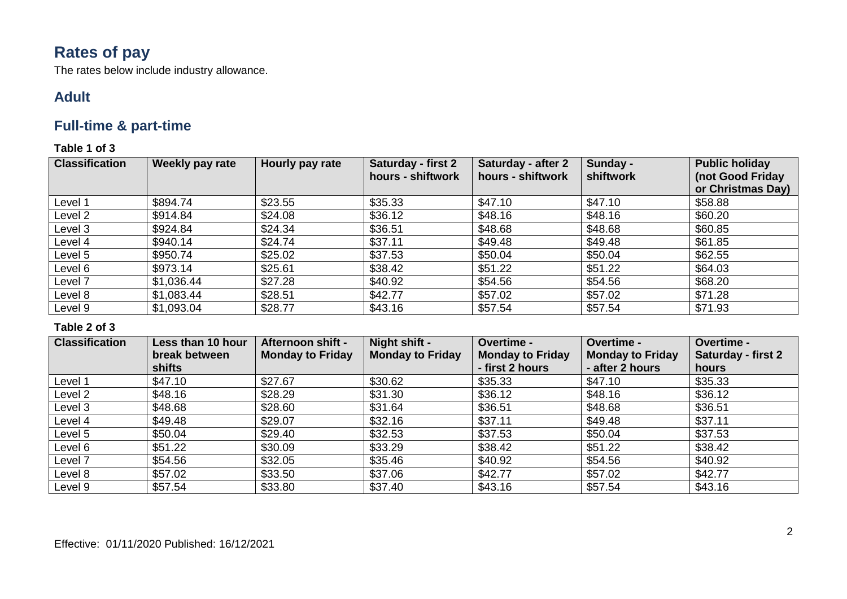# **Rates of pay**

The rates below include industry allowance.

### **Adult**

### **Full-time & part-time**

**Table 1 of 3**

| <b>Classification</b> | Weekly pay rate | Hourly pay rate | <b>Saturday - first 2</b><br>hours - shiftwork | <b>Saturday - after 2</b><br>hours - shiftwork | Sunday -<br>shiftwork | <b>Public holiday</b><br>(not Good Friday<br>or Christmas Day) |
|-----------------------|-----------------|-----------------|------------------------------------------------|------------------------------------------------|-----------------------|----------------------------------------------------------------|
| Level 1               | \$894.74        | \$23.55         | \$35.33                                        | \$47.10                                        | \$47.10               | \$58.88                                                        |
| Level 2               | \$914.84        | \$24.08         | \$36.12                                        | \$48.16                                        | \$48.16               | \$60.20                                                        |
| Level 3               | \$924.84        | \$24.34         | \$36.51                                        | \$48.68                                        | \$48.68               | \$60.85                                                        |
| Level 4               | \$940.14        | \$24.74         | \$37.11                                        | \$49.48                                        | \$49.48               | \$61.85                                                        |
| Level 5               | \$950.74        | \$25.02         | \$37.53                                        | \$50.04                                        | \$50.04               | \$62.55                                                        |
| Level 6               | \$973.14        | \$25.61         | \$38.42                                        | \$51.22                                        | \$51.22               | \$64.03                                                        |
| Level 7               | \$1,036.44      | \$27.28         | \$40.92                                        | \$54.56                                        | \$54.56               | \$68.20                                                        |
| Level 8               | \$1,083.44      | \$28.51         | \$42.77                                        | \$57.02                                        | \$57.02               | \$71.28                                                        |
| Level 9               | \$1,093.04      | \$28.77         | \$43.16                                        | \$57.54                                        | \$57.54               | \$71.93                                                        |

| <b>Classification</b> | Less than 10 hour | Afternoon shift -       | Night shift -           | Overtime -              | Overtime -              | Overtime -                |
|-----------------------|-------------------|-------------------------|-------------------------|-------------------------|-------------------------|---------------------------|
|                       | break between     | <b>Monday to Friday</b> | <b>Monday to Friday</b> | <b>Monday to Friday</b> | <b>Monday to Friday</b> | <b>Saturday - first 2</b> |
|                       | <b>shifts</b>     |                         |                         | - first 2 hours         | - after 2 hours         | hours                     |
| Level 1               | \$47.10           | \$27.67                 | \$30.62                 | \$35.33                 | \$47.10                 | \$35.33                   |
| Level 2               | \$48.16           | \$28.29                 | \$31.30                 | \$36.12                 | \$48.16                 | \$36.12                   |
| Level 3               | \$48.68           | \$28.60                 | \$31.64                 | \$36.51                 | \$48.68                 | \$36.51                   |
| Level 4               | \$49.48           | \$29.07                 | \$32.16                 | \$37.11                 | \$49.48                 | \$37.11                   |
| Level 5               | \$50.04           | \$29.40                 | \$32.53                 | \$37.53                 | \$50.04                 | \$37.53                   |
| Level 6               | \$51.22           | \$30.09                 | \$33.29                 | \$38.42                 | \$51.22                 | \$38.42                   |
| Level 7               | \$54.56           | \$32.05                 | \$35.46                 | \$40.92                 | \$54.56                 | \$40.92                   |
| Level 8               | \$57.02           | \$33.50                 | \$37.06                 | \$42.77                 | \$57.02                 | \$42.77                   |
| Level 9               | \$57.54           | \$33.80                 | \$37.40                 | \$43.16                 | \$57.54                 | \$43.16                   |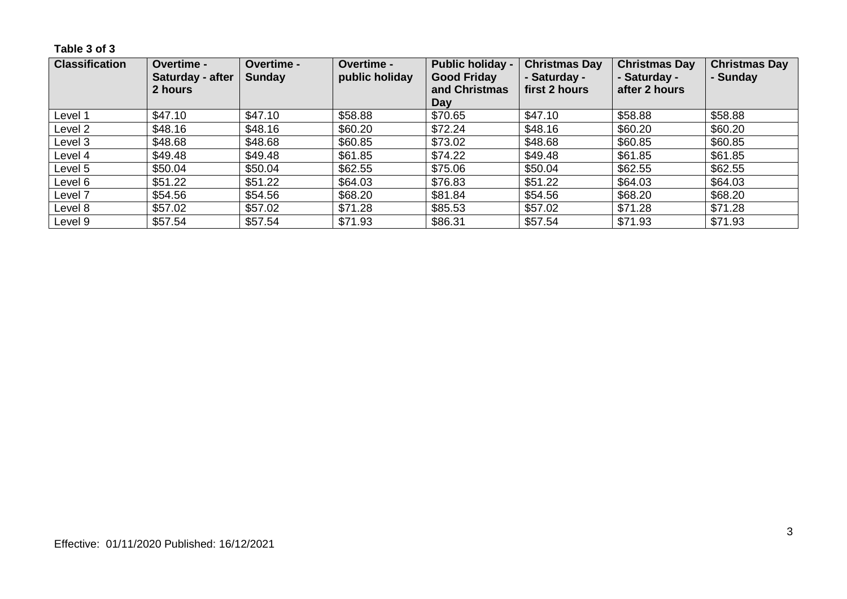**Table 3 of 3**

| <b>Classification</b> | Overtime -<br>Saturday - after<br>2 hours | Overtime -<br><b>Sunday</b> | <b>Overtime -</b><br>public holiday | <b>Public holiday -</b><br><b>Good Friday</b><br>and Christmas<br>Day | <b>Christmas Day</b><br>- Saturday -<br>first 2 hours | <b>Christmas Day</b><br>- Saturday -<br>after 2 hours | <b>Christmas Day</b><br>- Sunday |
|-----------------------|-------------------------------------------|-----------------------------|-------------------------------------|-----------------------------------------------------------------------|-------------------------------------------------------|-------------------------------------------------------|----------------------------------|
| Level 1               | \$47.10                                   | \$47.10                     | \$58.88                             | \$70.65                                                               | \$47.10                                               | \$58.88                                               | \$58.88                          |
| Level 2               | \$48.16                                   | \$48.16                     | \$60.20                             | \$72.24                                                               | \$48.16                                               | \$60.20                                               | \$60.20                          |
| Level 3               | \$48.68                                   | \$48.68                     | \$60.85                             | \$73.02                                                               | \$48.68                                               | \$60.85                                               | \$60.85                          |
| Level 4               | \$49.48                                   | \$49.48                     | \$61.85                             | \$74.22                                                               | \$49.48                                               | \$61.85                                               | \$61.85                          |
| Level 5               | \$50.04                                   | \$50.04                     | \$62.55                             | \$75.06                                                               | \$50.04                                               | \$62.55                                               | \$62.55                          |
| Level 6               | \$51.22                                   | \$51.22                     | \$64.03                             | \$76.83                                                               | \$51.22                                               | \$64.03                                               | \$64.03                          |
| Level 7               | \$54.56                                   | \$54.56                     | \$68.20                             | \$81.84                                                               | \$54.56                                               | \$68.20                                               | \$68.20                          |
| Level 8               | \$57.02                                   | \$57.02                     | \$71.28                             | \$85.53                                                               | \$57.02                                               | \$71.28                                               | \$71.28                          |
| Level 9               | \$57.54                                   | \$57.54                     | \$71.93                             | \$86.31                                                               | \$57.54                                               | \$71.93                                               | \$71.93                          |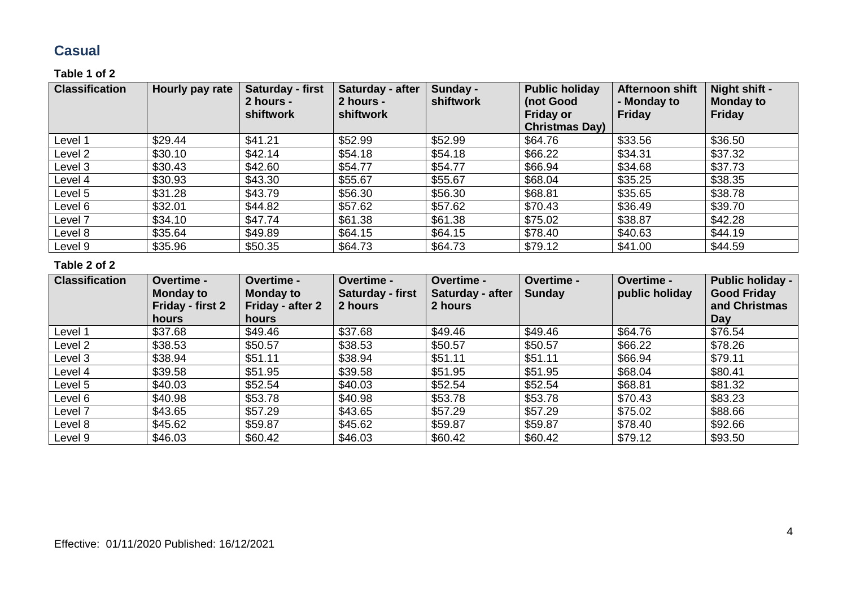### **Casual**

#### **Table 1 of 2**

| <b>Classification</b> | Hourly pay rate | Saturday - first<br>2 hours -<br>shiftwork | Saturday - after<br>2 hours -<br>shiftwork | Sunday -<br>shiftwork | <b>Public holiday</b><br>(not Good<br><b>Friday or</b><br><b>Christmas Day)</b> | Afternoon shift<br>- Monday to<br><b>Friday</b> | Night shift -<br><b>Monday to</b><br><b>Friday</b> |
|-----------------------|-----------------|--------------------------------------------|--------------------------------------------|-----------------------|---------------------------------------------------------------------------------|-------------------------------------------------|----------------------------------------------------|
| Level 1               | \$29.44         | \$41.21                                    | \$52.99                                    | \$52.99               | \$64.76                                                                         | \$33.56                                         | \$36.50                                            |
| Level 2               | \$30.10         | \$42.14                                    | \$54.18                                    | \$54.18               | \$66.22                                                                         | \$34.31                                         | \$37.32                                            |
| Level 3               | \$30.43         | \$42.60                                    | \$54.77                                    | \$54.77               | \$66.94                                                                         | \$34.68                                         | \$37.73                                            |
| Level 4               | \$30.93         | \$43.30                                    | \$55.67                                    | \$55.67               | \$68.04                                                                         | \$35.25                                         | \$38.35                                            |
| Level 5               | \$31.28         | \$43.79                                    | \$56.30                                    | \$56.30               | \$68.81                                                                         | \$35.65                                         | \$38.78                                            |
| Level 6               | \$32.01         | \$44.82                                    | \$57.62                                    | \$57.62               | \$70.43                                                                         | \$36.49                                         | \$39.70                                            |
| Level 7               | \$34.10         | \$47.74                                    | \$61.38                                    | \$61.38               | \$75.02                                                                         | \$38.87                                         | \$42.28                                            |
| Level 8               | \$35.64         | \$49.89                                    | \$64.15                                    | \$64.15               | \$78.40                                                                         | \$40.63                                         | \$44.19                                            |
| Level 9               | \$35.96         | \$50.35                                    | \$64.73                                    | \$64.73               | \$79.12                                                                         | \$41.00                                         | \$44.59                                            |

| <b>Classification</b> | Overtime -<br><b>Monday to</b><br>Friday - first 2<br><b>hours</b> | Overtime -<br><b>Monday to</b><br>Friday - after 2<br>hours | <b>Overtime -</b><br>Saturday - first<br>2 hours | Overtime -<br>Saturday - after<br>2 hours | Overtime -<br><b>Sunday</b> | Overtime -<br>public holiday | <b>Public holiday -</b><br><b>Good Friday</b><br>and Christmas<br>Day |
|-----------------------|--------------------------------------------------------------------|-------------------------------------------------------------|--------------------------------------------------|-------------------------------------------|-----------------------------|------------------------------|-----------------------------------------------------------------------|
| Level 1               | \$37.68                                                            | \$49.46                                                     | \$37.68                                          | \$49.46                                   | \$49.46                     | \$64.76                      | \$76.54                                                               |
| Level 2               | \$38.53                                                            | \$50.57                                                     | \$38.53                                          | \$50.57                                   | \$50.57                     | \$66.22                      | \$78.26                                                               |
| Level 3               | \$38.94                                                            | \$51.11                                                     | \$38.94                                          | \$51.11                                   | \$51.11                     | \$66.94                      | \$79.11                                                               |
| Level 4               | \$39.58                                                            | \$51.95                                                     | \$39.58                                          | \$51.95                                   | \$51.95                     | \$68.04                      | \$80.41                                                               |
| Level 5               | \$40.03                                                            | \$52.54                                                     | \$40.03                                          | \$52.54                                   | \$52.54                     | \$68.81                      | \$81.32                                                               |
| Level 6               | \$40.98                                                            | \$53.78                                                     | \$40.98                                          | \$53.78                                   | \$53.78                     | \$70.43                      | \$83.23                                                               |
| Level 7               | \$43.65                                                            | \$57.29                                                     | \$43.65                                          | \$57.29                                   | \$57.29                     | \$75.02                      | \$88.66                                                               |
| Level 8               | \$45.62                                                            | \$59.87                                                     | \$45.62                                          | \$59.87                                   | \$59.87                     | \$78.40                      | \$92.66                                                               |
| Level 9               | \$46.03                                                            | \$60.42                                                     | \$46.03                                          | \$60.42                                   | \$60.42                     | \$79.12                      | \$93.50                                                               |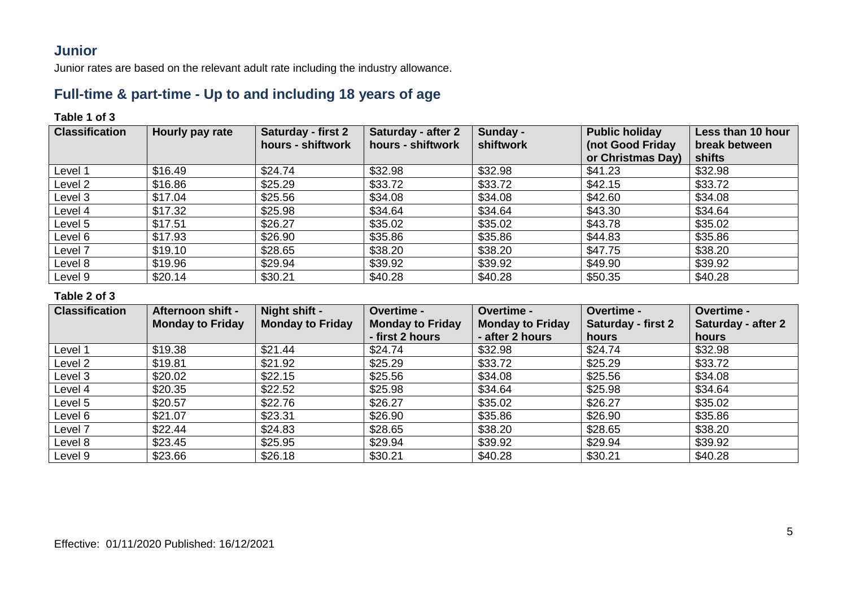### **Junior**

Junior rates are based on the relevant adult rate including the industry allowance.

### **Full-time & part-time - Up to and including 18 years of age**

### **Table 1 of 3**

| <b>Classification</b> | Hourly pay rate | <b>Saturday - first 2</b><br>hours - shiftwork | <b>Saturday - after 2</b><br>hours - shiftwork | Sunday -<br>shiftwork | <b>Public holiday</b><br>(not Good Friday | Less than 10 hour<br>break between |
|-----------------------|-----------------|------------------------------------------------|------------------------------------------------|-----------------------|-------------------------------------------|------------------------------------|
|                       |                 |                                                |                                                |                       | or Christmas Day)                         | shifts                             |
| Level 1               | \$16.49         | \$24.74                                        | \$32.98                                        | \$32.98               | \$41.23                                   | \$32.98                            |
| Level 2               | \$16.86         | \$25.29                                        | \$33.72                                        | \$33.72               | \$42.15                                   | \$33.72                            |
| Level 3               | \$17.04         | \$25.56                                        | \$34.08                                        | \$34.08               | \$42.60                                   | \$34.08                            |
| Level 4               | \$17.32         | \$25.98                                        | \$34.64                                        | \$34.64               | \$43.30                                   | \$34.64                            |
| Level 5               | \$17.51         | \$26.27                                        | \$35.02                                        | \$35.02               | \$43.78                                   | \$35.02                            |
| Level 6               | \$17.93         | \$26.90                                        | \$35.86                                        | \$35.86               | \$44.83                                   | \$35.86                            |
| Level 7               | \$19.10         | \$28.65                                        | \$38.20                                        | \$38.20               | \$47.75                                   | \$38.20                            |
| Level 8               | \$19.96         | \$29.94                                        | \$39.92                                        | \$39.92               | \$49.90                                   | \$39.92                            |
| Level 9               | \$20.14         | \$30.21                                        | \$40.28                                        | \$40.28               | \$50.35                                   | \$40.28                            |

| <b>Classification</b> | Afternoon shift -       | Night shift -           | <b>Overtime -</b>       | <b>Overtime -</b>       | Overtime -         | <b>Overtime -</b>  |
|-----------------------|-------------------------|-------------------------|-------------------------|-------------------------|--------------------|--------------------|
|                       | <b>Monday to Friday</b> | <b>Monday to Friday</b> | <b>Monday to Friday</b> | <b>Monday to Friday</b> | Saturday - first 2 | Saturday - after 2 |
|                       |                         |                         | - first 2 hours         | - after 2 hours         | hours              | hours              |
| Level 1               | \$19.38                 | \$21.44                 | \$24.74                 | \$32.98                 | \$24.74            | \$32.98            |
| Level 2               | \$19.81                 | \$21.92                 | \$25.29                 | \$33.72                 | \$25.29            | \$33.72            |
| Level 3               | \$20.02                 | \$22.15                 | \$25.56                 | \$34.08                 | \$25.56            | \$34.08            |
| Level 4               | \$20.35                 | \$22.52                 | \$25.98                 | \$34.64                 | \$25.98            | \$34.64            |
| Level 5               | \$20.57                 | \$22.76                 | \$26.27                 | \$35.02                 | \$26.27            | \$35.02            |
| Level 6               | \$21.07                 | \$23.31                 | \$26.90                 | \$35.86                 | \$26.90            | \$35.86            |
| Level 7               | \$22.44                 | \$24.83                 | \$28.65                 | \$38.20                 | \$28.65            | \$38.20            |
| Level 8               | \$23.45                 | \$25.95                 | \$29.94                 | \$39.92                 | \$29.94            | \$39.92            |
| Level 9               | \$23.66                 | \$26.18                 | \$30.21                 | \$40.28                 | \$30.21            | \$40.28            |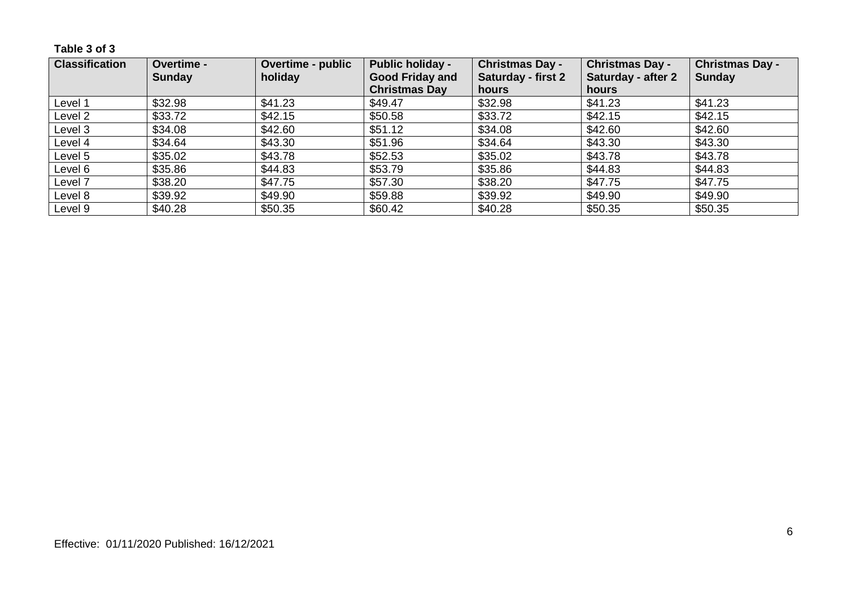**Table 3 of 3**

| <b>Classification</b> | Overtime -    | <b>Overtime - public</b> | <b>Public holiday -</b> | <b>Christmas Day -</b>    | <b>Christmas Day -</b> | <b>Christmas Day -</b> |
|-----------------------|---------------|--------------------------|-------------------------|---------------------------|------------------------|------------------------|
|                       | <b>Sunday</b> | holiday                  | <b>Good Friday and</b>  | <b>Saturday - first 2</b> | Saturday - after 2     | <b>Sunday</b>          |
|                       |               |                          | <b>Christmas Day</b>    | hours                     | hours                  |                        |
| Level 1               | \$32.98       | \$41.23                  | \$49.47                 | \$32.98                   | \$41.23                | \$41.23                |
| Level 2               | \$33.72       | \$42.15                  | \$50.58                 | \$33.72                   | \$42.15                | \$42.15                |
| Level 3               | \$34.08       | \$42.60                  | \$51.12                 | \$34.08                   | \$42.60                | \$42.60                |
| Level 4               | \$34.64       | \$43.30                  | \$51.96                 | \$34.64                   | \$43.30                | \$43.30                |
| Level 5               | \$35.02       | \$43.78                  | \$52.53                 | \$35.02                   | \$43.78                | \$43.78                |
| Level 6               | \$35.86       | \$44.83                  | \$53.79                 | \$35.86                   | \$44.83                | \$44.83                |
| Level 7               | \$38.20       | \$47.75                  | \$57.30                 | \$38.20                   | \$47.75                | \$47.75                |
| Level 8               | \$39.92       | \$49.90                  | \$59.88                 | \$39.92                   | \$49.90                | \$49.90                |
| Level 9               | \$40.28       | \$50.35                  | \$60.42                 | \$40.28                   | \$50.35                | \$50.35                |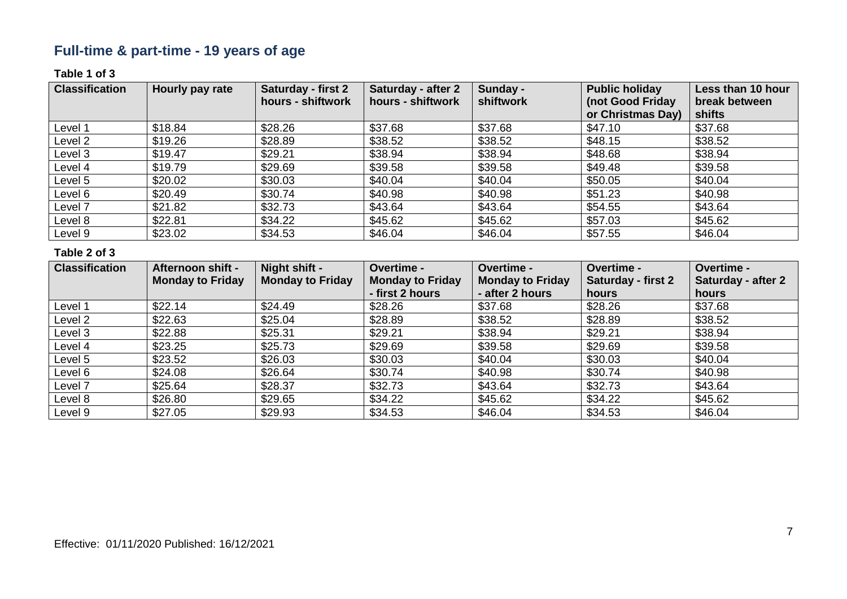# **Full-time & part-time - 19 years of age**

#### **Table 1 of 3**

| <b>Classification</b> | Hourly pay rate | Saturday - first 2<br>hours - shiftwork | <b>Saturday - after 2</b><br>hours - shiftwork | Sunday -<br>shiftwork | <b>Public holiday</b><br>(not Good Friday | Less than 10 hour<br>break between |
|-----------------------|-----------------|-----------------------------------------|------------------------------------------------|-----------------------|-------------------------------------------|------------------------------------|
|                       |                 |                                         |                                                |                       | or Christmas Day)                         | shifts                             |
| Level 1               | \$18.84         | \$28.26                                 | \$37.68                                        | \$37.68               | \$47.10                                   | \$37.68                            |
| Level 2               | \$19.26         | \$28.89                                 | \$38.52                                        | \$38.52               | \$48.15                                   | \$38.52                            |
| Level 3               | \$19.47         | \$29.21                                 | \$38.94                                        | \$38.94               | \$48.68                                   | \$38.94                            |
| Level 4               | \$19.79         | \$29.69                                 | \$39.58                                        | \$39.58               | \$49.48                                   | \$39.58                            |
| Level 5               | \$20.02         | \$30.03                                 | \$40.04                                        | \$40.04               | \$50.05                                   | \$40.04                            |
| Level 6               | \$20.49         | \$30.74                                 | \$40.98                                        | \$40.98               | \$51.23                                   | \$40.98                            |
| Level 7               | \$21.82         | \$32.73                                 | \$43.64                                        | \$43.64               | \$54.55                                   | \$43.64                            |
| Level 8               | \$22.81         | \$34.22                                 | \$45.62                                        | \$45.62               | \$57.03                                   | \$45.62                            |
| Level 9               | \$23.02         | \$34.53                                 | \$46.04                                        | \$46.04               | \$57.55                                   | \$46.04                            |

| <b>Classification</b> | <b>Afternoon shift -</b> | Night shift -           | <b>Overtime -</b>       | Overtime -              | Overtime -         | <b>Overtime -</b>         |
|-----------------------|--------------------------|-------------------------|-------------------------|-------------------------|--------------------|---------------------------|
|                       | <b>Monday to Friday</b>  | <b>Monday to Friday</b> | <b>Monday to Friday</b> | <b>Monday to Friday</b> | Saturday - first 2 | <b>Saturday - after 2</b> |
|                       |                          |                         | - first 2 hours         | - after 2 hours         | hours              | hours                     |
| Level 1               | \$22.14                  | \$24.49                 | \$28.26                 | \$37.68                 | \$28.26            | \$37.68                   |
| Level 2               | \$22.63                  | \$25.04                 | \$28.89                 | \$38.52                 | \$28.89            | \$38.52                   |
| Level 3               | \$22.88                  | \$25.31                 | \$29.21                 | \$38.94                 | \$29.21            | \$38.94                   |
| Level 4               | \$23.25                  | \$25.73                 | \$29.69                 | \$39.58                 | \$29.69            | \$39.58                   |
| Level 5               | \$23.52                  | \$26.03                 | \$30.03                 | \$40.04                 | \$30.03            | \$40.04                   |
| Level 6               | \$24.08                  | \$26.64                 | \$30.74                 | \$40.98                 | \$30.74            | \$40.98                   |
| Level 7               | \$25.64                  | \$28.37                 | \$32.73                 | \$43.64                 | \$32.73            | \$43.64                   |
| Level 8               | \$26.80                  | \$29.65                 | \$34.22                 | \$45.62                 | \$34.22            | \$45.62                   |
| Level 9               | \$27.05                  | \$29.93                 | \$34.53                 | \$46.04                 | \$34.53            | \$46.04                   |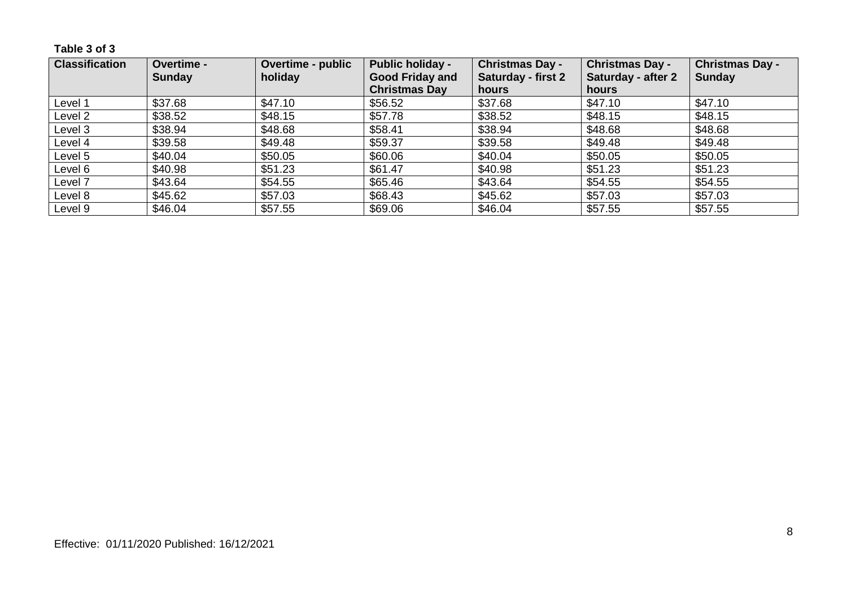**Table 3 of 3**

| <b>Classification</b> | <b>Overtime -</b> | <b>Overtime - public</b> | <b>Public holiday -</b> | <b>Christmas Day -</b>    | <b>Christmas Day -</b> | <b>Christmas Day -</b> |
|-----------------------|-------------------|--------------------------|-------------------------|---------------------------|------------------------|------------------------|
|                       | <b>Sunday</b>     | holiday                  | <b>Good Friday and</b>  | <b>Saturday - first 2</b> | Saturday - after 2     | Sunday                 |
|                       |                   |                          | <b>Christmas Day</b>    | hours                     | hours                  |                        |
| Level 1               | \$37.68           | \$47.10                  | \$56.52                 | \$37.68                   | \$47.10                | \$47.10                |
| Level 2               | \$38.52           | \$48.15                  | \$57.78                 | \$38.52                   | \$48.15                | \$48.15                |
| Level 3               | \$38.94           | \$48.68                  | \$58.41                 | \$38.94                   | \$48.68                | \$48.68                |
| Level 4               | \$39.58           | \$49.48                  | \$59.37                 | \$39.58                   | \$49.48                | \$49.48                |
| Level 5               | \$40.04           | \$50.05                  | \$60.06                 | \$40.04                   | \$50.05                | \$50.05                |
| Level 6               | \$40.98           | \$51.23                  | \$61.47                 | \$40.98                   | \$51.23                | \$51.23                |
| Level 7               | \$43.64           | \$54.55                  | \$65.46                 | \$43.64                   | \$54.55                | \$54.55                |
| Level 8               | \$45.62           | \$57.03                  | \$68.43                 | \$45.62                   | \$57.03                | \$57.03                |
| Level 9               | \$46.04           | \$57.55                  | \$69.06                 | \$46.04                   | \$57.55                | \$57.55                |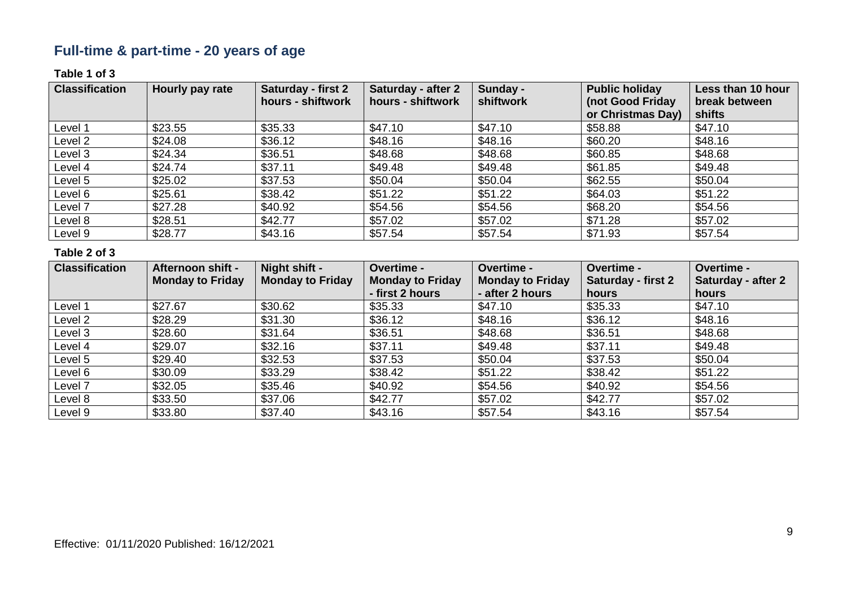# **Full-time & part-time - 20 years of age**

### **Table 1 of 3**

| <b>Classification</b> | Hourly pay rate | Saturday - first 2 | Saturday - after 2 | Sunday -  | <b>Public holiday</b> | Less than 10 hour |
|-----------------------|-----------------|--------------------|--------------------|-----------|-----------------------|-------------------|
|                       |                 | hours - shiftwork  | hours - shiftwork  | shiftwork | (not Good Friday      | break between     |
|                       |                 |                    |                    |           | or Christmas Day)     | shifts            |
| Level 1               | \$23.55         | \$35.33            | \$47.10            | \$47.10   | \$58.88               | \$47.10           |
| Level 2               | \$24.08         | \$36.12            | \$48.16            | \$48.16   | \$60.20               | \$48.16           |
| Level 3               | \$24.34         | \$36.51            | \$48.68            | \$48.68   | \$60.85               | \$48.68           |
| Level 4               | \$24.74         | \$37.11            | \$49.48            | \$49.48   | \$61.85               | \$49.48           |
| Level 5               | \$25.02         | \$37.53            | \$50.04            | \$50.04   | \$62.55               | \$50.04           |
| Level 6               | \$25.61         | \$38.42            | \$51.22            | \$51.22   | \$64.03               | \$51.22           |
| Level 7               | \$27.28         | \$40.92            | \$54.56            | \$54.56   | \$68.20               | \$54.56           |
| Level 8               | \$28.51         | \$42.77            | \$57.02            | \$57.02   | \$71.28               | \$57.02           |
| Level 9               | \$28.77         | \$43.16            | \$57.54            | \$57.54   | \$71.93               | \$57.54           |

| <b>Classification</b> | <b>Afternoon shift -</b> | Night shift -           | <b>Overtime -</b>       | <b>Overtime -</b>       | Overtime -                | Overtime -         |
|-----------------------|--------------------------|-------------------------|-------------------------|-------------------------|---------------------------|--------------------|
|                       | <b>Monday to Friday</b>  | <b>Monday to Friday</b> | <b>Monday to Friday</b> | <b>Monday to Friday</b> | <b>Saturday - first 2</b> | Saturday - after 2 |
|                       |                          |                         | - first 2 hours         | - after 2 hours         | hours                     | hours              |
| Level 1               | \$27.67                  | \$30.62                 | \$35.33                 | \$47.10                 | \$35.33                   | \$47.10            |
| Level 2               | \$28.29                  | \$31.30                 | \$36.12                 | \$48.16                 | \$36.12                   | \$48.16            |
| Level 3               | \$28.60                  | \$31.64                 | \$36.51                 | \$48.68                 | \$36.51                   | \$48.68            |
| Level 4               | \$29.07                  | \$32.16                 | \$37.11                 | \$49.48                 | \$37.11                   | \$49.48            |
| Level 5               | \$29.40                  | \$32.53                 | \$37.53                 | \$50.04                 | \$37.53                   | \$50.04            |
| Level 6               | \$30.09                  | \$33.29                 | \$38.42                 | \$51.22                 | \$38.42                   | \$51.22            |
| Level 7               | \$32.05                  | \$35.46                 | \$40.92                 | \$54.56                 | \$40.92                   | \$54.56            |
| Level 8               | \$33.50                  | \$37.06                 | \$42.77                 | \$57.02                 | \$42.77                   | \$57.02            |
| Level 9               | \$33.80                  | \$37.40                 | \$43.16                 | \$57.54                 | \$43.16                   | \$57.54            |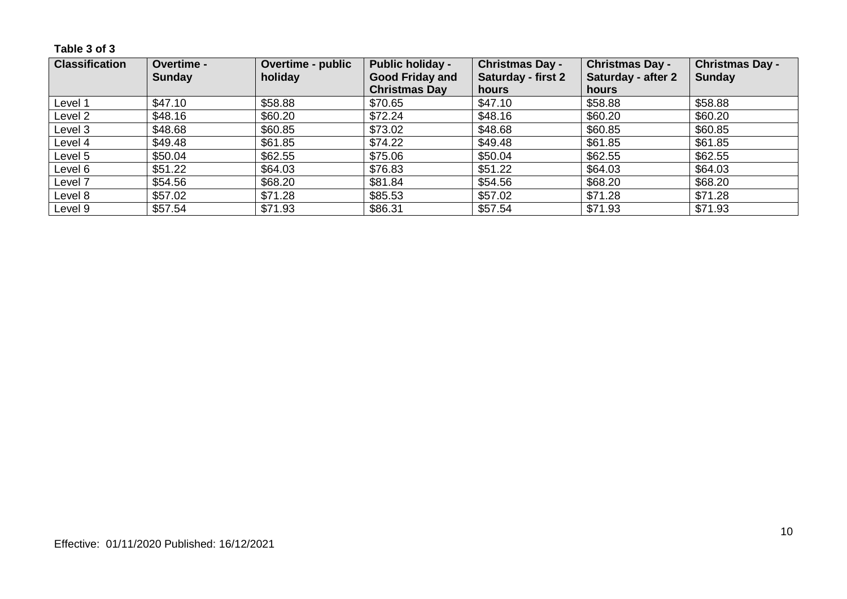**Table 3 of 3**

| <b>Classification</b> | Overtime -    | <b>Overtime - public</b> | <b>Public holiday -</b> | <b>Christmas Day -</b>    | <b>Christmas Day -</b> | <b>Christmas Day -</b> |
|-----------------------|---------------|--------------------------|-------------------------|---------------------------|------------------------|------------------------|
|                       | <b>Sunday</b> | holiday                  | <b>Good Friday and</b>  | <b>Saturday - first 2</b> | Saturday - after 2     | <b>Sunday</b>          |
|                       |               |                          | <b>Christmas Day</b>    | hours                     | hours                  |                        |
| Level 1               | \$47.10       | \$58.88                  | \$70.65                 | \$47.10                   | \$58.88                | \$58.88                |
| Level 2               | \$48.16       | \$60.20                  | \$72.24                 | \$48.16                   | \$60.20                | \$60.20                |
| Level 3               | \$48.68       | \$60.85                  | \$73.02                 | \$48.68                   | \$60.85                | \$60.85                |
| Level 4               | \$49.48       | \$61.85                  | \$74.22                 | \$49.48                   | \$61.85                | \$61.85                |
| Level 5               | \$50.04       | \$62.55                  | \$75.06                 | \$50.04                   | \$62.55                | \$62.55                |
| Level 6               | \$51.22       | \$64.03                  | \$76.83                 | \$51.22                   | \$64.03                | \$64.03                |
| Level 7               | \$54.56       | \$68.20                  | \$81.84                 | \$54.56                   | \$68.20                | \$68.20                |
| Level 8               | \$57.02       | \$71.28                  | \$85.53                 | \$57.02                   | \$71.28                | \$71.28                |
| Level 9               | \$57.54       | \$71.93                  | \$86.31                 | \$57.54                   | \$71.93                | \$71.93                |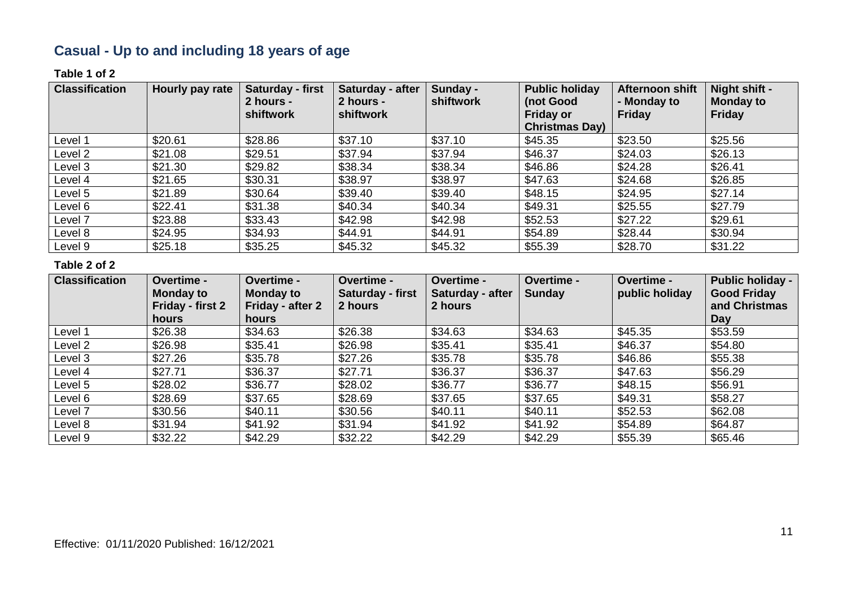# **Casual - Up to and including 18 years of age**

#### **Table 1 of 2**

| <b>Classification</b> | <b>Hourly pay rate</b> | Saturday - first<br>2 hours -<br>shiftwork | Saturday - after<br>2 hours -<br>shiftwork | Sunday -<br>shiftwork | <b>Public holiday</b><br>(not Good<br><b>Friday or</b><br><b>Christmas Day)</b> | Afternoon shift<br>- Monday to<br><b>Friday</b> | Night shift -<br><b>Monday to</b><br><b>Friday</b> |
|-----------------------|------------------------|--------------------------------------------|--------------------------------------------|-----------------------|---------------------------------------------------------------------------------|-------------------------------------------------|----------------------------------------------------|
| Level 1               | \$20.61                | \$28.86                                    | \$37.10                                    | \$37.10               | \$45.35                                                                         | \$23.50                                         | \$25.56                                            |
| Level 2               | \$21.08                | \$29.51                                    | \$37.94                                    | \$37.94               | \$46.37                                                                         | \$24.03                                         | \$26.13                                            |
| Level 3               | \$21.30                | \$29.82                                    | \$38.34                                    | \$38.34               | \$46.86                                                                         | \$24.28                                         | \$26.41                                            |
| Level 4               | \$21.65                | \$30.31                                    | \$38.97                                    | \$38.97               | \$47.63                                                                         | \$24.68                                         | \$26.85                                            |
| Level 5               | \$21.89                | \$30.64                                    | \$39.40                                    | \$39.40               | \$48.15                                                                         | \$24.95                                         | \$27.14                                            |
| Level 6               | \$22.41                | \$31.38                                    | \$40.34                                    | \$40.34               | \$49.31                                                                         | \$25.55                                         | \$27.79                                            |
| Level 7               | \$23.88                | \$33.43                                    | \$42.98                                    | \$42.98               | \$52.53                                                                         | \$27.22                                         | \$29.61                                            |
| Level 8               | \$24.95                | \$34.93                                    | \$44.91                                    | \$44.91               | \$54.89                                                                         | \$28.44                                         | \$30.94                                            |
| Level 9               | \$25.18                | \$35.25                                    | \$45.32                                    | \$45.32               | \$55.39                                                                         | \$28.70                                         | \$31.22                                            |

| <b>Classification</b> | Overtime -<br><b>Monday to</b><br>Friday - first 2 | Overtime -<br><b>Monday to</b><br>Friday - after 2 | Overtime -<br>Saturday - first<br>2 hours | <b>Overtime -</b><br>Saturday - after<br>2 hours | Overtime -<br><b>Sunday</b> | <b>Overtime -</b><br>public holiday | <b>Public holiday -</b><br><b>Good Friday</b><br>and Christmas |
|-----------------------|----------------------------------------------------|----------------------------------------------------|-------------------------------------------|--------------------------------------------------|-----------------------------|-------------------------------------|----------------------------------------------------------------|
|                       | <b>hours</b>                                       | hours                                              |                                           |                                                  |                             |                                     | Day                                                            |
| Level 1               | \$26.38                                            | \$34.63                                            | \$26.38                                   | \$34.63                                          | \$34.63                     | \$45.35                             | \$53.59                                                        |
| Level 2               | \$26.98                                            | \$35.41                                            | \$26.98                                   | \$35.41                                          | \$35.41                     | \$46.37                             | \$54.80                                                        |
| Level 3               | \$27.26                                            | \$35.78                                            | \$27.26                                   | \$35.78                                          | \$35.78                     | \$46.86                             | \$55.38                                                        |
| Level 4               | \$27.71                                            | \$36.37                                            | \$27.71                                   | \$36.37                                          | \$36.37                     | \$47.63                             | \$56.29                                                        |
| Level 5               | \$28.02                                            | \$36.77                                            | \$28.02                                   | \$36.77                                          | \$36.77                     | \$48.15                             | \$56.91                                                        |
| Level 6               | \$28.69                                            | \$37.65                                            | \$28.69                                   | \$37.65                                          | \$37.65                     | \$49.31                             | \$58.27                                                        |
| Level 7               | \$30.56                                            | \$40.11                                            | \$30.56                                   | \$40.11                                          | \$40.11                     | \$52.53                             | \$62.08                                                        |
| Level 8               | \$31.94                                            | \$41.92                                            | \$31.94                                   | \$41.92                                          | \$41.92                     | \$54.89                             | \$64.87                                                        |
| Level 9               | \$32.22                                            | \$42.29                                            | \$32.22                                   | \$42.29                                          | \$42.29                     | \$55.39                             | \$65.46                                                        |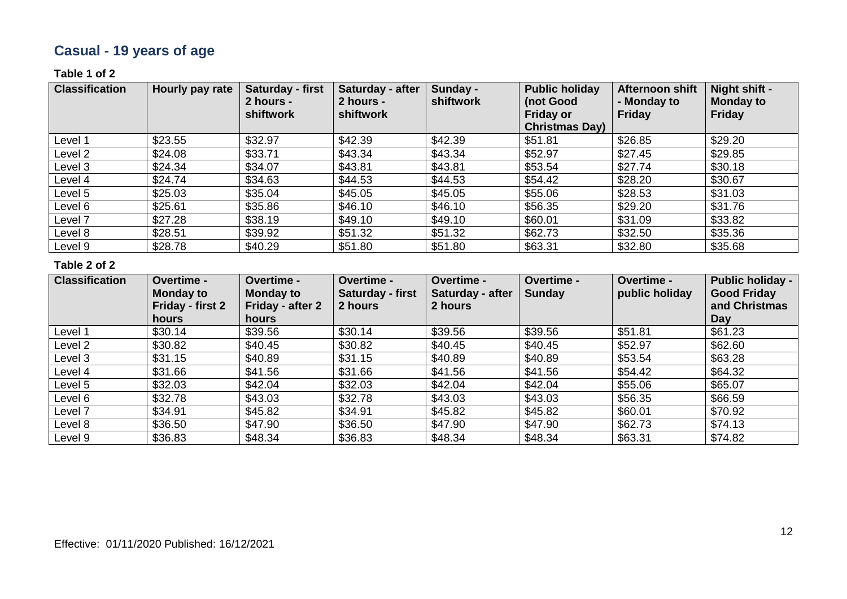# **Casual - 19 years of age**

### **Table 1 of 2**

| <b>Classification</b> | Hourly pay rate | Saturday - first<br>2 hours -<br>shiftwork | Saturday - after<br>2 hours -<br>shiftwork | Sunday -<br>shiftwork | <b>Public holiday</b><br>(not Good<br><b>Friday or</b><br><b>Christmas Day)</b> | Afternoon shift<br>- Monday to<br><b>Friday</b> | Night shift -<br><b>Monday to</b><br>Friday |
|-----------------------|-----------------|--------------------------------------------|--------------------------------------------|-----------------------|---------------------------------------------------------------------------------|-------------------------------------------------|---------------------------------------------|
| Level 1               | \$23.55         | \$32.97                                    | \$42.39                                    | \$42.39               | \$51.81                                                                         | \$26.85                                         | \$29.20                                     |
| Level 2               | \$24.08         | \$33.71                                    | \$43.34                                    | \$43.34               | \$52.97                                                                         | \$27.45                                         | \$29.85                                     |
| Level 3               | \$24.34         | \$34.07                                    | \$43.81                                    | \$43.81               | \$53.54                                                                         | \$27.74                                         | \$30.18                                     |
| Level 4               | \$24.74         | \$34.63                                    | \$44.53                                    | \$44.53               | \$54.42                                                                         | \$28.20                                         | \$30.67                                     |
| Level 5               | \$25.03         | \$35.04                                    | \$45.05                                    | \$45.05               | \$55.06                                                                         | \$28.53                                         | \$31.03                                     |
| Level 6               | \$25.61         | \$35.86                                    | \$46.10                                    | \$46.10               | \$56.35                                                                         | \$29.20                                         | \$31.76                                     |
| Level 7               | \$27.28         | \$38.19                                    | \$49.10                                    | \$49.10               | \$60.01                                                                         | \$31.09                                         | \$33.82                                     |
| Level 8               | \$28.51         | \$39.92                                    | \$51.32                                    | \$51.32               | \$62.73                                                                         | \$32.50                                         | \$35.36                                     |
| Level 9               | \$28.78         | \$40.29                                    | \$51.80                                    | \$51.80               | \$63.31                                                                         | \$32.80                                         | \$35.68                                     |

| <b>Classification</b> | Overtime -<br><b>Monday to</b><br><b>Friday - first 2</b><br><b>hours</b> | Overtime -<br><b>Monday to</b><br>Friday - after 2<br>hours | <b>Overtime -</b><br>Saturday - first<br>2 hours | Overtime -<br>Saturday - after<br>2 hours | Overtime -<br><b>Sunday</b> | Overtime -<br>public holiday | <b>Public holiday -</b><br><b>Good Friday</b><br>and Christmas<br>Day |
|-----------------------|---------------------------------------------------------------------------|-------------------------------------------------------------|--------------------------------------------------|-------------------------------------------|-----------------------------|------------------------------|-----------------------------------------------------------------------|
| Level 1               | \$30.14                                                                   | \$39.56                                                     | \$30.14                                          | \$39.56                                   | \$39.56                     | \$51.81                      | \$61.23                                                               |
| Level 2               | \$30.82                                                                   | \$40.45                                                     | \$30.82                                          | \$40.45                                   | \$40.45                     | \$52.97                      | \$62.60                                                               |
| Level 3               | \$31.15                                                                   | \$40.89                                                     | \$31.15                                          | \$40.89                                   | \$40.89                     | \$53.54                      | \$63.28                                                               |
| Level 4               | \$31.66                                                                   | \$41.56                                                     | \$31.66                                          | \$41.56                                   | \$41.56                     | \$54.42                      | \$64.32                                                               |
| Level 5               | \$32.03                                                                   | \$42.04                                                     | \$32.03                                          | \$42.04                                   | \$42.04                     | \$55.06                      | \$65.07                                                               |
| Level 6               | \$32.78                                                                   | \$43.03                                                     | \$32.78                                          | \$43.03                                   | \$43.03                     | \$56.35                      | \$66.59                                                               |
| Level 7               | \$34.91                                                                   | \$45.82                                                     | \$34.91                                          | \$45.82                                   | \$45.82                     | \$60.01                      | \$70.92                                                               |
| Level 8               | \$36.50                                                                   | \$47.90                                                     | \$36.50                                          | \$47.90                                   | \$47.90                     | \$62.73                      | \$74.13                                                               |
| Level 9               | \$36.83                                                                   | \$48.34                                                     | \$36.83                                          | \$48.34                                   | \$48.34                     | \$63.31                      | \$74.82                                                               |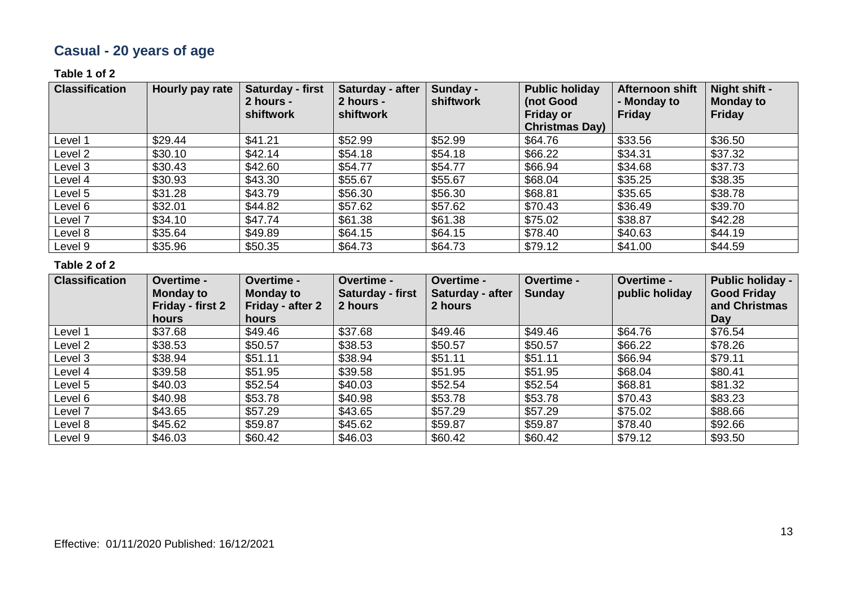# **Casual - 20 years of age**

### **Table 1 of 2**

| <b>Classification</b> | Hourly pay rate | Saturday - first<br>2 hours -<br>shiftwork | Saturday - after<br>2 hours -<br>shiftwork | Sunday -<br>shiftwork | <b>Public holiday</b><br>(not Good<br><b>Friday or</b><br><b>Christmas Day)</b> | Afternoon shift<br>- Monday to<br><b>Friday</b> | Night shift -<br><b>Monday to</b><br>Friday |
|-----------------------|-----------------|--------------------------------------------|--------------------------------------------|-----------------------|---------------------------------------------------------------------------------|-------------------------------------------------|---------------------------------------------|
| Level 1               | \$29.44         | \$41.21                                    | \$52.99                                    | \$52.99               | \$64.76                                                                         | \$33.56                                         | \$36.50                                     |
| Level 2               | \$30.10         | \$42.14                                    | \$54.18                                    | \$54.18               | \$66.22                                                                         | \$34.31                                         | \$37.32                                     |
| Level 3               | \$30.43         | \$42.60                                    | \$54.77                                    | \$54.77               | \$66.94                                                                         | \$34.68                                         | \$37.73                                     |
| Level 4               | \$30.93         | \$43.30                                    | \$55.67                                    | \$55.67               | \$68.04                                                                         | \$35.25                                         | \$38.35                                     |
| Level 5               | \$31.28         | \$43.79                                    | \$56.30                                    | \$56.30               | \$68.81                                                                         | \$35.65                                         | \$38.78                                     |
| Level 6               | \$32.01         | \$44.82                                    | \$57.62                                    | \$57.62               | \$70.43                                                                         | \$36.49                                         | \$39.70                                     |
| Level 7               | \$34.10         | \$47.74                                    | \$61.38                                    | \$61.38               | \$75.02                                                                         | \$38.87                                         | \$42.28                                     |
| Level 8               | \$35.64         | \$49.89                                    | \$64.15                                    | \$64.15               | \$78.40                                                                         | \$40.63                                         | \$44.19                                     |
| Level 9               | \$35.96         | \$50.35                                    | \$64.73                                    | \$64.73               | \$79.12                                                                         | \$41.00                                         | \$44.59                                     |

| <b>Classification</b> | Overtime -<br><b>Monday to</b><br><b>Friday - first 2</b><br><b>hours</b> | Overtime -<br><b>Monday to</b><br>Friday - after 2<br>hours | <b>Overtime -</b><br>Saturday - first<br>2 hours | Overtime -<br>Saturday - after<br>2 hours | Overtime -<br><b>Sunday</b> | <b>Overtime -</b><br>public holiday | <b>Public holiday -</b><br><b>Good Friday</b><br>and Christmas<br>Day |
|-----------------------|---------------------------------------------------------------------------|-------------------------------------------------------------|--------------------------------------------------|-------------------------------------------|-----------------------------|-------------------------------------|-----------------------------------------------------------------------|
| Level 1               | \$37.68                                                                   | \$49.46                                                     | \$37.68                                          | \$49.46                                   | \$49.46                     | \$64.76                             | \$76.54                                                               |
| Level 2               | \$38.53                                                                   | \$50.57                                                     | \$38.53                                          | \$50.57                                   | \$50.57                     | \$66.22                             | \$78.26                                                               |
| Level 3               | \$38.94                                                                   | \$51.11                                                     | \$38.94                                          | \$51.11                                   | \$51.11                     | \$66.94                             | \$79.11                                                               |
| Level 4               | \$39.58                                                                   | \$51.95                                                     | \$39.58                                          | \$51.95                                   | \$51.95                     | \$68.04                             | \$80.41                                                               |
| Level 5               | \$40.03                                                                   | \$52.54                                                     | \$40.03                                          | \$52.54                                   | \$52.54                     | \$68.81                             | \$81.32                                                               |
| Level 6               | \$40.98                                                                   | \$53.78                                                     | \$40.98                                          | \$53.78                                   | \$53.78                     | \$70.43                             | \$83.23                                                               |
| Level 7               | \$43.65                                                                   | \$57.29                                                     | \$43.65                                          | \$57.29                                   | \$57.29                     | \$75.02                             | \$88.66                                                               |
| Level 8               | \$45.62                                                                   | \$59.87                                                     | \$45.62                                          | \$59.87                                   | \$59.87                     | \$78.40                             | \$92.66                                                               |
| Level 9               | \$46.03                                                                   | \$60.42                                                     | \$46.03                                          | \$60.42                                   | \$60.42                     | \$79.12                             | \$93.50                                                               |